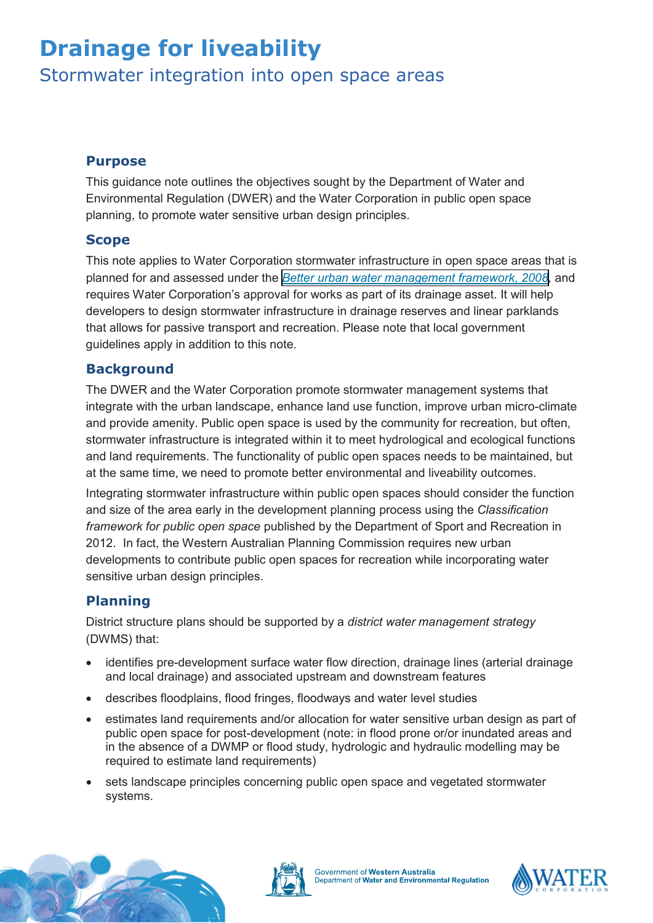# **Drainage for liveability**

**Stormwater integration into open space areas** 

#### **Purpose**

This guidance note outlines the objectives sought by the Department of Water and Environmental Regulation (DWER) and the Water Corporation in public open space planning, to promote water sensitive urban design principles.

### **Scope**

This note applies to Water Corporation stormwater infrastructure in open space areas that is planned for and assessed under the *[Better urban water management framework, 2008,](https://www.planning.wa.gov.au/dop_pub_pdf/Better_Urban_Water_Management.pdf)* and requires Water Corporation's approval for works as part of its drainage asset. It will help developers to design stormwater infrastructure in drainage reserves and linear parklands that allows for passive transport and recreation. Please note that local government guidelines apply in addition to this note.

### **Background**

The DWER and the Water Corporation promote stormwater management systems that integrate with the urban landscape, enhance land use function, improve urban micro-climate and provide amenity. Public open space is used by the community for recreation, but often, stormwater infrastructure is integrated within it to meet hydrological and ecological functions and land requirements. The functionality of public open spaces needs to be maintained, but at the same time, we need to promote better environmental and liveability outcomes.

Integrating stormwater infrastructure within public open spaces should consider the function and size of the area early in the development planning process using the *Classification framework for public open space* published by the Department of Sport and Recreation in 2012. In fact, the Western Australian Planning Commission requires new urban developments to contribute public open spaces for recreation while incorporating water sensitive urban design principles.

## **Planning**

District structure plans should be supported by a *district water management strategy* (DWMS) that:

- identifies pre-development surface water flow direction, drainage lines (arterial drainage and local drainage) and associated upstream and downstream features
- describes floodplains, flood fringes, floodways and water level studies
- estimates land requirements and/or allocation for water sensitive urban design as part of public open space for post-development (note: in flood prone or/or inundated areas and in the absence of a DWMP or flood study, hydrologic and hydraulic modelling may be required to estimate land requirements)
- sets landscape principles concerning public open space and vegetated stormwater systems.





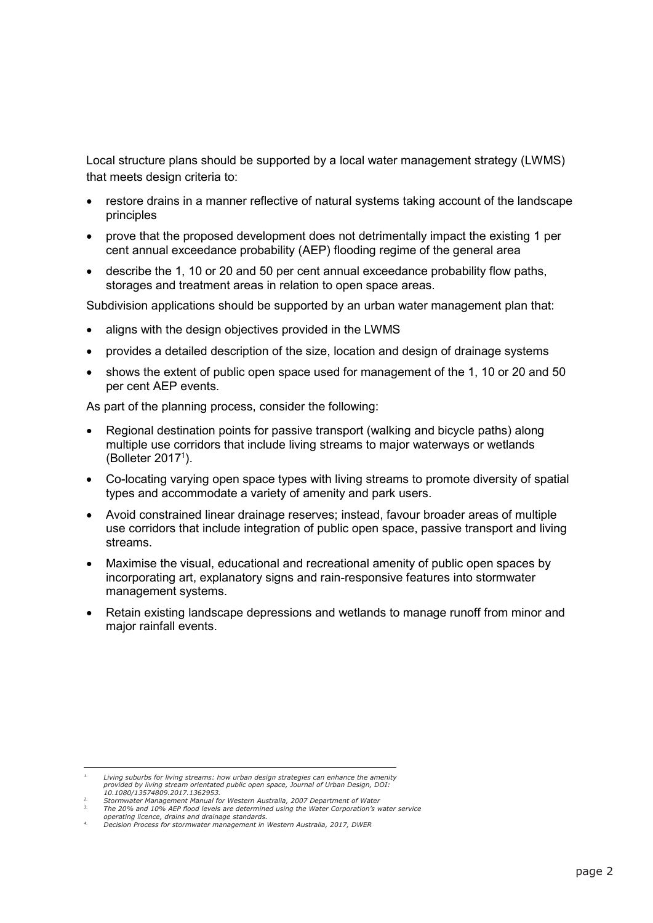Local structure plans should be supported by a local water management strategy (LWMS) that meets design criteria to:

- restore drains in a manner reflective of natural systems taking account of the landscape principles
- prove that the proposed development does not detrimentally impact the existing 1 per cent annual exceedance probability (AEP) flooding regime of the general area
- describe the 1, 10 or 20 and 50 per cent annual exceedance probability flow paths, storages and treatment areas in relation to open space areas.

Subdivision applications should be supported by an urban water management plan that:

- aligns with the design objectives provided in the LWMS
- provides a detailed description of the size, location and design of drainage systems
- shows the extent of public open space used for management of the 1, 10 or 20 and 50 per cent AEP events.

As part of the planning process, consider the following:

- Regional destination points for passive transport (walking and bicycle paths) along multiple use corridors that include living streams to major waterways or wetlands (Bolleter 20171 ).
- Co-locating varying open space types with living streams to promote diversity of spatial types and accommodate a variety of amenity and park users.
- Avoid constrained linear drainage reserves; instead, favour broader areas of multiple use corridors that include integration of public open space, passive transport and living streams.
- Maximise the visual, educational and recreational amenity of public open spaces by incorporating art, explanatory signs and rain-responsive features into stormwater management systems.
- Retain existing landscape depressions and wetlands to manage runoff from minor and major rainfall events.

 $1$  per centrum floodpoon that flood per contain the contained with a propriate land uses (public open to be contained with  $\alpha$ Living suburbs for living streams: how urban design strategies can enhance the amenity<br>provided by living stream orientated public open space, Journal of Urban Design, DOI:<br>provided usersings part incontent

*<sup>10.1080/13574809.2017.1362953.</sup> 2. Stormwater Management Manual for Western Australia, 2007 Department of Water*

*<sup>3.</sup> The 20% and 10% AEP flood levels are determined using the Water Corporation's water service*

 <sup>1</sup> *Living suburbs for living streams: how urban design strategies can enhance the amenity provided by living operating licence, drains and drainage standards. 4. Decision Process for stormwater management in Western Australia, 2017, DWER*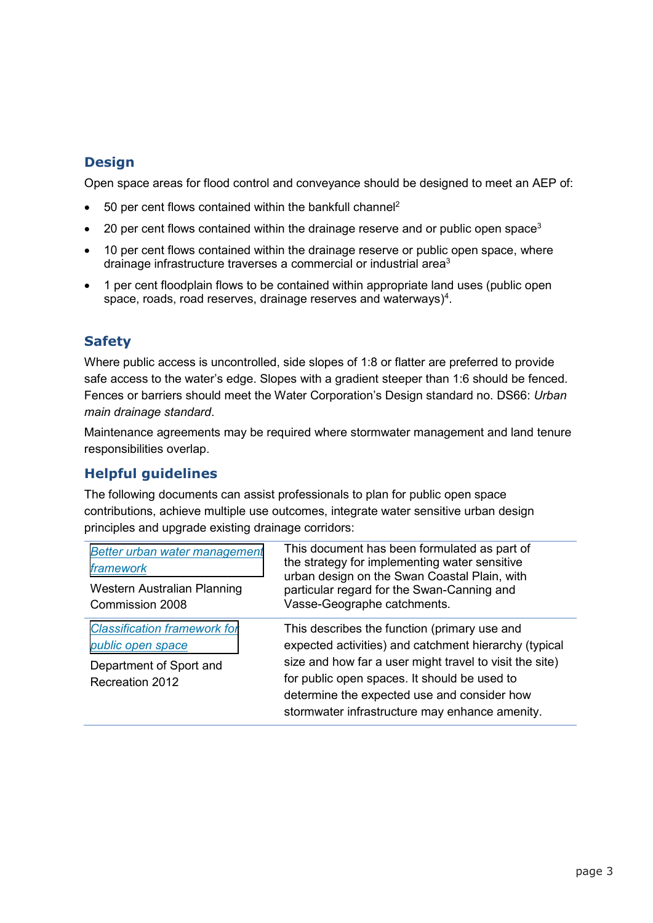# **Design**

Open space areas for flood control and conveyance should be designed to meet an AEP of:

- 50 per cent flows contained within the bankfull channel<sup>2</sup>
- 20 per cent flows contained within the drainage reserve and or public open space<sup>3</sup>
- 10 per cent flows contained within the drainage reserve or public open space, where drainage infrastructure traverses a commercial or industrial area<sup>3</sup>
- 1 per cent floodplain flows to be contained within appropriate land uses (public open space, roads, road reserves, drainage reserves and waterways) $4$ .

# **Safety**

Where public access is uncontrolled, side slopes of 1:8 or flatter are preferred to provide safe access to the water's edge. Slopes with a gradient steeper than 1:6 should be fenced. Fences or barriers should meet the Water Corporation's Design standard no. DS66: *Urban main drainage standard*.

Maintenance agreements may be required where stormwater management and land tenure responsibilities overlap.

## **Helpful guidelines**

The following documents can assist professionals to plan for public open space contributions, achieve multiple use outcomes, integrate water sensitive urban design principles and upgrade existing drainage corridors:

| Better urban water management<br>framework<br>Western Australian Planning<br>Commission 2008           | This document has been formulated as part of<br>the strategy for implementing water sensitive<br>urban design on the Swan Coastal Plain, with<br>particular regard for the Swan-Canning and<br>Vasse-Geographe catchments.                                                                                        |
|--------------------------------------------------------------------------------------------------------|-------------------------------------------------------------------------------------------------------------------------------------------------------------------------------------------------------------------------------------------------------------------------------------------------------------------|
| <b>Classification framework for</b><br>public open space<br>Department of Sport and<br>Recreation 2012 | This describes the function (primary use and<br>expected activities) and catchment hierarchy (typical<br>size and how far a user might travel to visit the site)<br>for public open spaces. It should be used to<br>determine the expected use and consider how<br>stormwater infrastructure may enhance amenity. |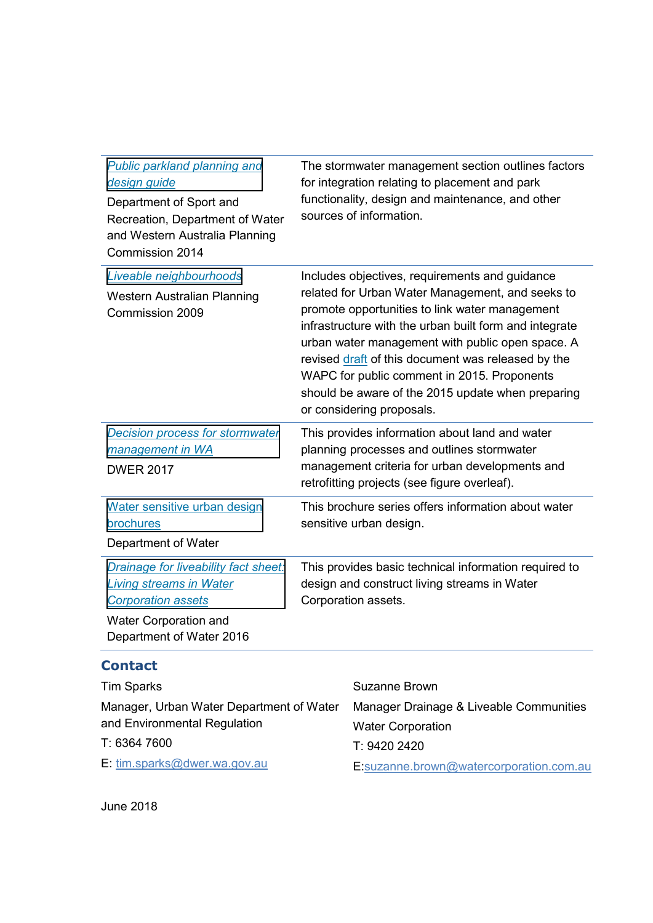| Public parkland planning and<br>design guide<br>Department of Sport and<br>Recreation, Department of Water<br>and Western Australia Planning<br>Commission 2014 | The stormwater management section outlines factors<br>for integration relating to placement and park<br>functionality, design and maintenance, and other<br>sources of information.                                                                                                                                                                                                                                                                       |
|-----------------------------------------------------------------------------------------------------------------------------------------------------------------|-----------------------------------------------------------------------------------------------------------------------------------------------------------------------------------------------------------------------------------------------------------------------------------------------------------------------------------------------------------------------------------------------------------------------------------------------------------|
| Liveable neighbourhoods<br>Western Australian Planning<br>Commission 2009                                                                                       | Includes objectives, requirements and guidance<br>related for Urban Water Management, and seeks to<br>promote opportunities to link water management<br>infrastructure with the urban built form and integrate<br>urban water management with public open space. A<br>revised draft of this document was released by the<br>WAPC for public comment in 2015. Proponents<br>should be aware of the 2015 update when preparing<br>or considering proposals. |
| Decision process for stormwater<br>management in WA<br><b>DWER 2017</b>                                                                                         | This provides information about land and water<br>planning processes and outlines stormwater<br>management criteria for urban developments and<br>retrofitting projects (see figure overleaf).                                                                                                                                                                                                                                                            |
| Water sensitive urban design<br>brochures<br>Department of Water                                                                                                | This brochure series offers information about water<br>sensitive urban design.                                                                                                                                                                                                                                                                                                                                                                            |
| Drainage for liveability fact sheet:<br><b>Living streams in Water</b><br><b>Corporation assets</b><br>Water Corporation and<br>Department of Water 2016        | This provides basic technical information required to<br>design and construct living streams in Water<br>Corporation assets.                                                                                                                                                                                                                                                                                                                              |

# **Contact**

| <b>Tim Sparks</b>                        | Suzanne Brown                           |
|------------------------------------------|-----------------------------------------|
| Manager, Urban Water Department of Water | Manager Drainage & Liveable Communities |
| and Environmental Regulation             | <b>Water Corporation</b>                |
| T: 6364 7600                             | T: 9420 2420                            |
| E: tim.sparks@dwer.wa.gov.au             | E:suzanne.brown@watercorporation.com.au |
|                                          |                                         |

June 2018